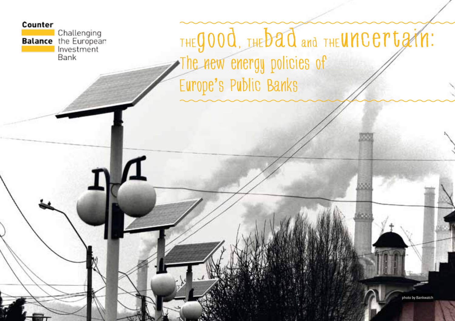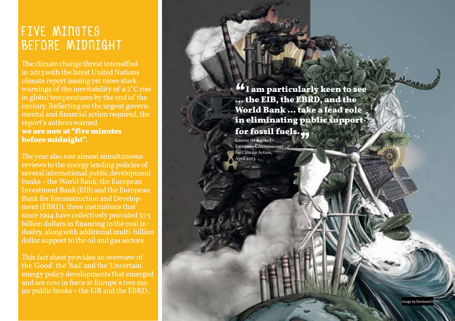#### **Investment climate changing control control control control control control control control control control co** LITE WILHUTED<br>Beegde Mitboiaut rive Minules<br>BEFORE MIDNIGH Five minu tes t<br>B l<br>E t

The climate change threat intensified in 2013 with the latest United Nations climate report issuing yet more stark warnings of the inevitability of a 2°C rise in global temperatures by the end of the century. Reflecting on the urgent govern mental and financial action required, the report's authors warned **we are now at "five minutes before midnight".** 

The year also saw almost simultaneous reviews to the energy lending policies of several international public development banks – the World Bank, the European Investment Bank (EIB) and the European Bank for Reconstruction and Develop ment (EBRD), three institutions that since 1994 have collectively provided 37.5 billion dollars in financing to the coal in dustry, along with additional multi-billion dollar support to the oil and gas sectors.

This fact sheet provides an overview of the 'Good', the 'Bad' and the 'Uncertain' energy policy developments that emerged jor public banks – the EIB and the EBRD.

**"I am particularly keen to see … the EIB, the EBRD, and the World Bank … take a lead role in eliminating public support for fossil fuels. TOF TOSSIT TUELS.**<br>
Connie Hedegaard,<br>
European Commissioner<br>
for Climate Action

for Climate Action. April 2013.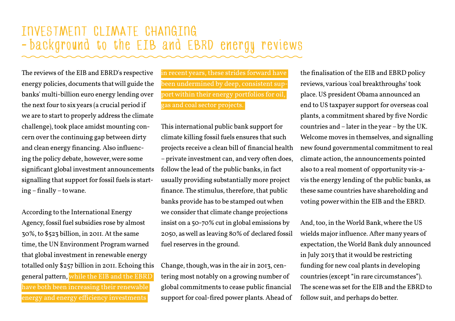#### investment climate changing – background to the EIB and EBRD energy reviews

The reviews of the EIB and EBRD's respective energy policies, documents that will guide the banks' multi-billion euro energy lending over the next four to six years (a crucial period if we are to start to properly address the climate challenge), took place amidst mounting concern over the continuing gap between dirty and clean energy financing. Also influencing the policy debate, however, were some significant global investment announcements signalling that support for fossil fuels is starting – finally – to wane.

According to the International Energy Agency, fossil fuel subsidies rose by almost 30%, to \$523 billion, in 2011. At the same time, the UN Environment Program warned that global investment in renewable energy totalled only \$257 billion in 2011. Echoing this general pattern, while the EIB and the EBRD have both been increasing their renewable energy and energy efficiency investments

in recent years, these strides forward have been undermined by deep, consistent support within their energy portfolios for oil, gas and coal sector projects.

This international public bank support for climate killing fossil fuels ensures that such projects receive a clean bill of financial health – private investment can, and very often does, follow the lead of the public banks, in fact usually providing substantially more project finance. The stimulus, therefore, that public banks provide has to be stamped out when we consider that climate change projections insist on a 50-70% cut in global emissions by 2050, as well as leaving 80% of declared fossil fuel reserves in the ground.

Change, though, was in the air in 2013, centering most notably on a growing number of global commitments to cease public financial support for coal-fired power plants. Ahead of the finalisation of the EIB and EBRD policy reviews, various 'coal breakthroughs' took place. US president Obama announced an end to US taxpayer support for overseas coal plants, a commitment shared by five Nordic countries and – later in the year – by the UK. Welcome moves in themselves, and signalling new found governmental commitment to real climate action, the announcements pointed also to a real moment of opportunity vis-avis the energy lending of the public banks, as these same countries have shareholding and voting power within the EIB and the EBRD.

And, too, in the World Bank, where the US wields major influence. After many years of expectation, the World Bank duly announced in July 2013 that it would be restricting funding for new coal plants in developing countries (except "in rare circumstances"). The scene was set for the EIB and the EBRD to follow suit, and perhaps do better.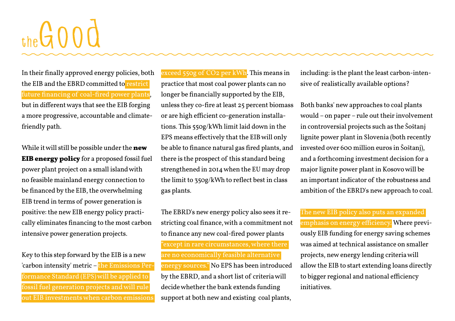# the GOOD

In their finally approved energy policies, both the EIB and the EBRD committed to restrict future financing of coal-fired power plants, but in different ways that see the EIB forging a more progressive, accountable and climatefriendly path.

While it will still be possible under the **new EIB energy policy** for a proposed fossil fuel power plant project on a small island with no feasible mainland energy connection to be financed by the EIB, the overwhelming EIB trend in terms of power generation is positive: the new EIB energy policy practically eliminates financing to the most carbon intensive power generation projects.

Key to this step forward by the EIB is a new 'carbon intensity' metric – the Emissions Performance Standard (EPS) will be applied to fossil fuel generation projects and will rule out EIB investments when carbon emissions

exceed 550g of CO2 per kWh. This means in practice that most coal power plants can no longer be financially supported by the EIB, unless they co-fire at least 25 percent biomass or are high efficient co-generation installations. This 550g/kWh limit laid down in the EPS means effectively that the EIB will only be able to finance natural gas fired plants, and there is the prospect of this standard being strengthened in 2014 when the EU may drop the limit to 350g/kWh to reflect best in class gas plants.

The EBRD's new energy policy also sees it restricting coal finance, with a commitment not to finance any new coal-fired power plants "except in rare circumstances, where there are no economically feasible alternative energy sources." No EPS has been introduced by the EBRD, and a short list of criteria will decide whether the bank extends funding support at both new and existing coal plants,

including: is the plant the least carbon-intensive of realistically available options?

Both banks' new approaches to coal plants would – on paper – rule out their involvement in controversial projects such as the Šoštanj lignite power plant in Slovenia (both recently invested over 600 million euros in Šoštanj), and a forthcoming investment decision for a major lignite power plant in Kosovo will be an important indicator of the robustness and ambition of the EBRD's new approach to coal.

The new EIB policy also puts an expanded

emphasis on energy efficiency. Where previously EIB funding for energy saving schemes was aimed at technical assistance on smaller projects, new energy lending criteria will allow the EIB to start extending loans directly to bigger regional and national efficiency initiatives.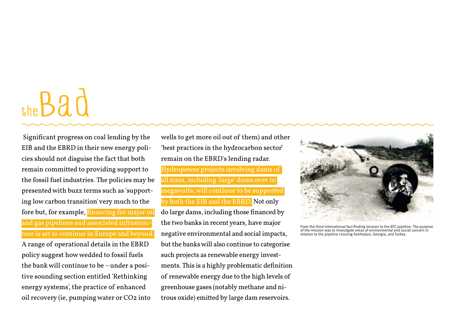### theBad

 Significant progress on coal lending by the EIB and the EBRD in their new energy policies should not disguise the fact that both remain committed to providing support to the fossil fuel industries. The policies may be presented with buzz terms such as 'supporting low carbon transition' very much to the fore but, for example, financing for major oil and gas pipelines and associated infrastructure is set to continue in Europe and beyond. A range of operational details in the EBRD policy suggest how wedded to fossil fuels the bank will continue to be – under a positive sounding section entitled 'Rethinking energy systems', the practice of enhanced oil recovery (ie, pumping water or CO2 into

wells to get more oil out of them) and other 'best practices in the hydrocarbon sector' remain on the EBRD's lending radar. Hydropower projects involving dams of all sizes, including 'large' dams over 10 megawatts, will continue to be supported by both the EIB and the EBRD. Not only do large dams, including those financed by the two banks in recent years, have major negative environmental and social impacts, but the banks will also continue to categorise such projects as renewable energy investments. This is a highly problematic definition of renewable energy due to the high levels of greenhouse gases (notably methane and nitrous oxide) emitted by large dam reservoirs.



From the third international fact-finding mission to the BTC pipeline. The purpose<br>of the mission was to investigate areas of environmental and social concern in<br>relation to the pipeline crossing Azerbaijan, Georgia, and T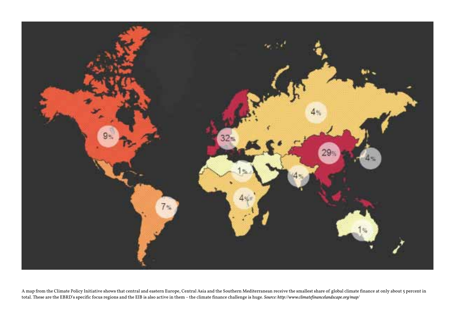

A map from the Climate Policy Initiative shows that central and eastern Europe, Central Asia and the Southern Mediterranean receive the smallest share of global climate finance at only about 5 percent in total. These are the EBRD's specific focus regions and the EIB is also active in them – the climate finance challenge is huge. *Source: http://www.climatefinancelandscape.org/map/*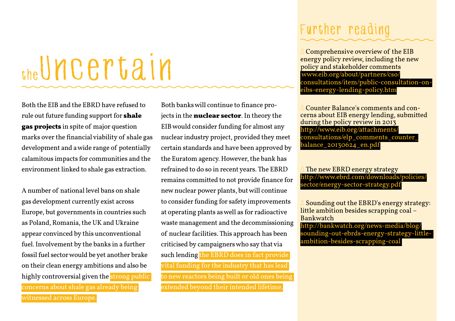### the Uncertain

Both the EIB and the EBRD have refused to rule out future funding support for **shale gas projects** in spite of major question marks over the financial viability of shale gas development and a wide range of potentially calamitous impacts for communities and the environment linked to shale gas extraction.

A number of national level bans on shale gas development currently exist across Europe, but governments in countries such as Poland, Romania, the UK and Ukraine appear convinced by this unconventional fuel. Involvement by the banks in a further fossil fuel sector would be yet another brake on their clean energy ambitions and also be highly controversial given the strong public concerns about shale gas already being

witnessed across Europe.

Both banks will continue to finance projects in the **nuclear sector**. In theory the EIB would consider funding for almost any nuclear industry project, provided they meet certain standards and have been approved by the Euratom agency. However, the bank has refrained to do so in recent years. The EBRD remains committed to not provide finance for new nuclear power plants, but will continue to consider funding for safety improvements at operating plants as well as for radioactive waste management and the decommissioning of nuclear facilities. This approach has been criticised by campaigners who say that via such lending the EBRD does in fact provide vital funding for the industry that has lead to new reactors being built or old ones being extended beyond their intended lifetime

#### Further reading

∆ Comprehensive overview of the EIB energy policy review, including the new policy and stakeholder comments www.eib.org/about/partners/cso/ consultations/item/public-consultation-oneibs-energy-lending-policy.htm

∆ Counter Balance's comments and concerns about EIB energy lending, submitted during the policy review in 2013 http://www.eib.org/attachments/ consultations/elp\_comments\_counter\_ balance 20130624 en.pdf

The new EBRD energy strategy http://www.ebrd.com/downloads/policies/ sector/energy-sector-strategy.pdf

Sounding out the EBRD's energy strategy: little ambition besides scrapping coal – Bankwatch

http://bankwatch.org/news-media/blog/ sounding-out-ebrds-energy-strategy-littleambition-besides-scrapping-coal